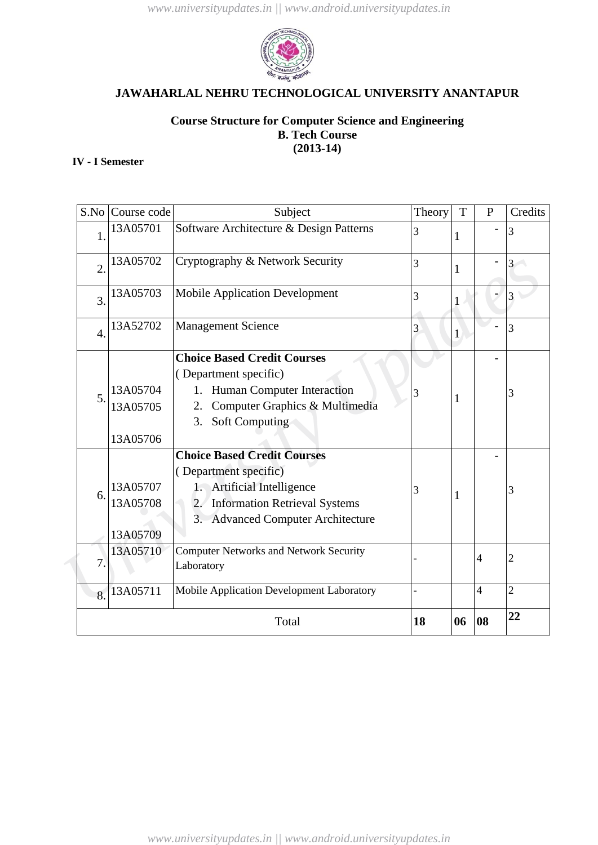

# **Course Structure for Computer Science and Engineering B. Tech Course (2013-14)**

# **IV - I Semester**

| S.No             | Course code                                         | Subject                                       | Theory | T            | $\mathbf{P}$   | Credits        |
|------------------|-----------------------------------------------------|-----------------------------------------------|--------|--------------|----------------|----------------|
| 1.               | 13A05701<br>Software Architecture & Design Patterns |                                               |        |              |                | 3              |
| $\overline{2}$ . | 13A05702                                            | Cryptography & Network Security               | 3      | $\mathbf{1}$ |                | 3              |
| $\overline{3}$ . | 13A05703<br><b>Mobile Application Development</b>   |                                               |        |              |                |                |
| $\overline{4}$ . | 13A52702                                            | <b>Management Science</b>                     | 3      | $\mathbf{1}$ |                | 3              |
|                  |                                                     | <b>Choice Based Credit Courses</b>            |        |              |                |                |
| 5.               |                                                     | (Department specific)                         |        |              |                |                |
|                  | 13A05704                                            | Human Computer Interaction<br>1.              | 3      | 1            |                | 3              |
|                  | 13A05705                                            | Computer Graphics & Multimedia<br>2.          |        |              |                |                |
|                  |                                                     | Soft Computing<br>3.                          |        |              |                |                |
|                  | 13A05706                                            |                                               |        |              |                |                |
|                  |                                                     | <b>Choice Based Credit Courses</b>            |        |              |                |                |
|                  |                                                     | (Department specific)                         |        |              |                |                |
| 6.               | 13A05707                                            | 1. Artificial Intelligence                    | 3      | $\mathbf{1}$ |                | 3              |
|                  | 13A05708                                            | 2. Information Retrieval Systems              |        |              |                |                |
|                  |                                                     | 3. Advanced Computer Architecture             |        |              |                |                |
|                  | 13A05709                                            |                                               |        |              |                |                |
| 7.               | 13A05710                                            | <b>Computer Networks and Network Security</b> |        |              | $\overline{4}$ | $\overline{2}$ |
|                  |                                                     | Laboratory                                    |        |              |                |                |
| 8.               | 13A05711                                            | Mobile Application Development Laboratory     |        |              | $\overline{4}$ | $\overline{2}$ |
| Total            |                                                     |                                               |        | 06           | 08             | 22             |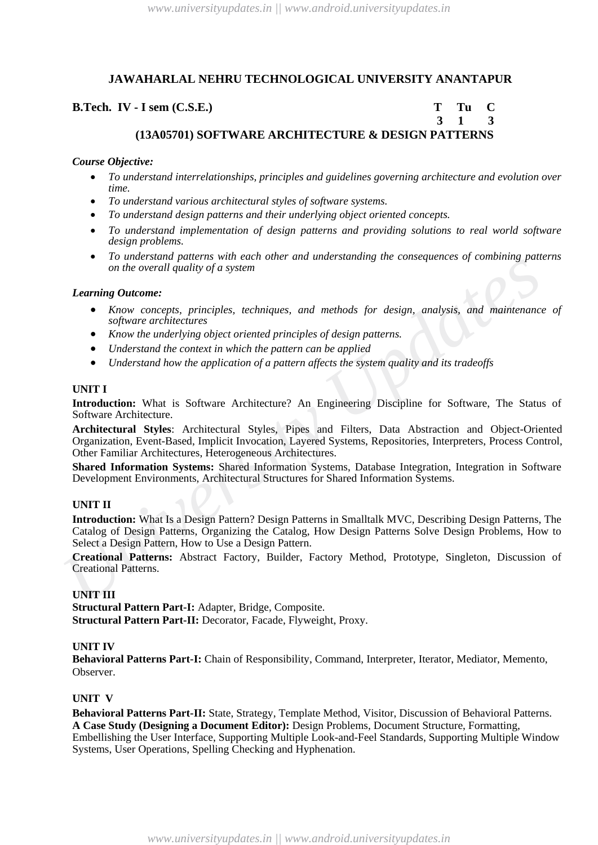## **B.Tech. IV · I** sem (C.S.E.) T Tu C

# **3 1 3 (13A05701) SOFTWARE ARCHITECTURE & DESIGN PATTERNS**

#### *Course Objective:*

- *To understand interrelationships, principles and guidelines governing architecture and evolution over time.*
- *To understand various architectural styles of software systems.*
- *To understand design patterns and their underlying object oriented concepts.*
- *To understand implementation of design patterns and providing solutions to real world software design problems.*
- *To understand patterns with each other and understanding the consequences of combining patterns on the overall quality of a system*

#### *Learning Outcome:*

- *Know concepts, principles, techniques, and methods for design, analysis, and maintenance of software architectures*
- *Know the underlying object oriented principles of design patterns.*
- *Understand the context in which the pattern can be applied*
- *Understand how the application of a pattern affects the system quality and its tradeoffs*

#### **UNIT I**

**Introduction:** What is Software Architecture? An Engineering Discipline for Software, The Status of Software Architecture.

**Architectural Styles**: Architectural Styles, Pipes and Filters, Data Abstraction and Object-Oriented Organization, Event-Based, Implicit Invocation, Layered Systems, Repositories, Interpreters, Process Control, Other Familiar Architectures, Heterogeneous Architectures.

**Shared Information Systems:** Shared Information Systems, Database Integration, Integration in Software Development Environments, Architectural Structures for Shared Information Systems.

#### **UNIT II**

*Commission and the overall quality of a system*<br> *Learning Outcome:*<br> **Example Commission And Solven Commission and Solven and Solven Supplementary surface surface the state surface surface surface surface surface surface Introduction:** What Is a Design Pattern? Design Patterns in Smalltalk MVC, Describing Design Patterns, The Catalog of Design Patterns, Organizing the Catalog, How Design Patterns Solve Design Problems, How to Select a Design Pattern, How to Use a Design Pattern.

**Creational Patterns:** Abstract Factory, Builder, Factory Method, Prototype, Singleton, Discussion of Creational Patterns.

#### **UNIT III**

**Structural Pattern Part-I:** Adapter, Bridge, Composite. **Structural Pattern Part-II:** Decorator, Facade, Flyweight, Proxy.

#### **UNIT IV**

**Behavioral Patterns Part-I:** Chain of Responsibility, Command, Interpreter, Iterator, Mediator, Memento, Observer.

#### **UNIT V**

**Behavioral Patterns Part-II:** State, Strategy, Template Method, Visitor, Discussion of Behavioral Patterns. **A Case Study (Designing a Document Editor):** Design Problems, Document Structure, Formatting, Embellishing the User Interface, Supporting Multiple Look-and-Feel Standards, Supporting Multiple Window Systems, User Operations, Spelling Checking and Hyphenation.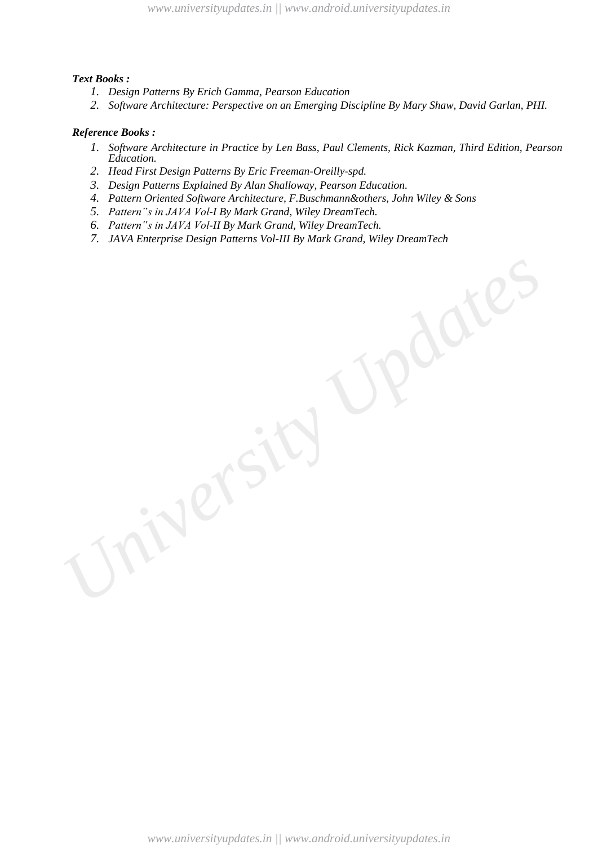## *Text Books :*

- *1. Design Patterns By Erich Gamma, Pearson Education*
- *2. Software Architecture: Perspective on an Emerging Discipline By Mary Shaw, David Garlan, PHI.*

- *1. Software Architecture in Practice by Len Bass, Paul Clements, Rick Kazman, Third Edition, Pearson Education.*
- *2. Head First Design Patterns By Eric Freeman-Oreilly-spd.*
- *3. Design Patterns Explained By Alan Shalloway, Pearson Education.*
- *4. Pattern Oriented Software Architecture, F.Buschmann&others, John Wiley & Sons*
- *5. Pattern"s in JAVA Vol-I By Mark Grand, Wiley DreamTech.*
- *6. Pattern"s in JAVA Vol-II By Mark Grand, Wiley DreamTech.*
- *7. JAVA Enterprise Design Patterns Vol-III By Mark Grand, Wiley DreamTech*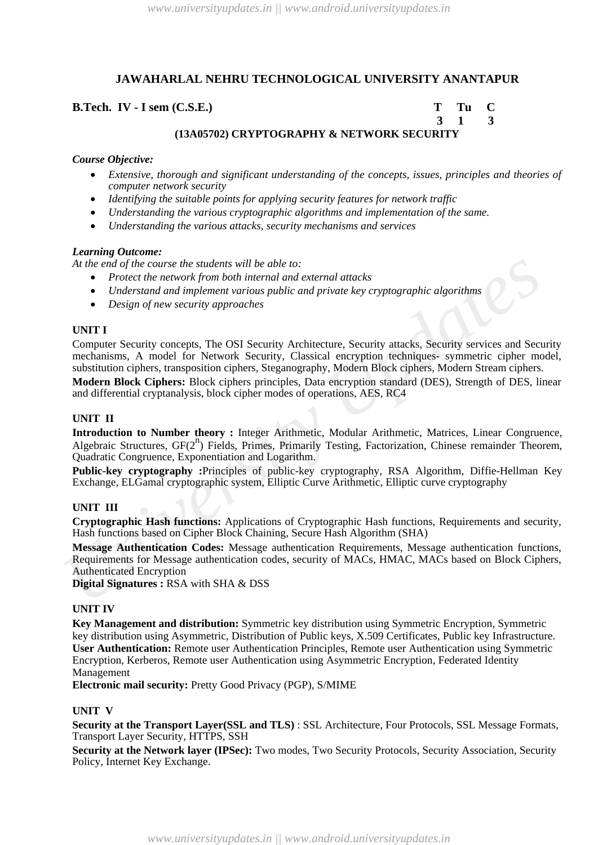**B.Tech. IV - I sem (C.S.E.) T Tu C 3 1 3**

# **(13A05702) CRYPTOGRAPHY & NETWORK SECURITY**

# *Course Objective:*

- *Extensive, thorough and significant understanding of the concepts, issues, principles and theories of computer network security*
- *Identifying the suitable points for applying security features for network traffic*
- *Understanding the various cryptographic algorithms and implementation of the same.*
- *Understanding the various attacks, security mechanisms and services*

# *Learning Outcome:*

*At the end of the course the students will be able to:*

- *Protect the network from both internal and external attacks*
- *Understand and implement various public and private key cryptographic algorithms*
- *Design of new security approaches*

## **UNIT I**

*At the ond of the course the students will be able to:*<br> *Understand and implement warious public and private key cryptographic algorithms***<br>
<b>•** *Draetstand and implement various public and private key cryptographic algo* Computer Security concepts, The OSI Security Architecture, Security attacks, Security services and Security mechanisms, A model for Network Security, Classical encryption techniques- symmetric cipher model, substitution ciphers, transposition ciphers, Steganography, Modern Block ciphers, Modern Stream ciphers. **Modern Block Ciphers:** Block ciphers principles, Data encryption standard (DES), Strength of DES, linear

and differential cryptanalysis, block cipher modes of operations, AES, RC4

## **UNIT II**

**Introduction to Number theory :** Integer Arithmetic, Modular Arithmetic, Matrices, Linear Congruence, Algebraic Structures, GF(2<sup>n</sup>) Fields, Primes, Primarily Testing, Factorization, Chinese remainder Theorem, Quadratic Congruence, Exponentiation and Logarithm.

**Public-key cryptography :**Principles of public-key cryptography, RSA Algorithm, Diffie-Hellman Key Exchange, ELGamal cryptographic system, Elliptic Curve Arithmetic, Elliptic curve cryptography

## **UNIT III**

**Cryptographic Hash functions:** Applications of Cryptographic Hash functions, Requirements and security, Hash functions based on Cipher Block Chaining, Secure Hash Algorithm (SHA)

**Message Authentication Codes:** Message authentication Requirements, Message authentication functions, Requirements for Message authentication codes, security of MACs, HMAC, MACs based on Block Ciphers, Authenticated Encryption

**Digital Signatures :** RSA with SHA & DSS

#### **UNIT IV**

**Key Management and distribution:** Symmetric key distribution using Symmetric Encryption, Symmetric key distribution using Asymmetric, Distribution of Public keys, X.509 Certificates, Public key Infrastructure. **User Authentication:** Remote user Authentication Principles, Remote user Authentication using Symmetric Encryption, Kerberos, Remote user Authentication using Asymmetric Encryption, Federated Identity Management

**Electronic mail security:** Pretty Good Privacy (PGP), S/MIME

#### **UNIT V**

**Security at the Transport Layer(SSL and TLS)** : SSL Architecture, Four Protocols, SSL Message Formats, Transport Layer Security, HTTPS, SSH

**Security at the Network layer (IPSec):** Two modes, Two Security Protocols, Security Association, Security Policy, Internet Key Exchange.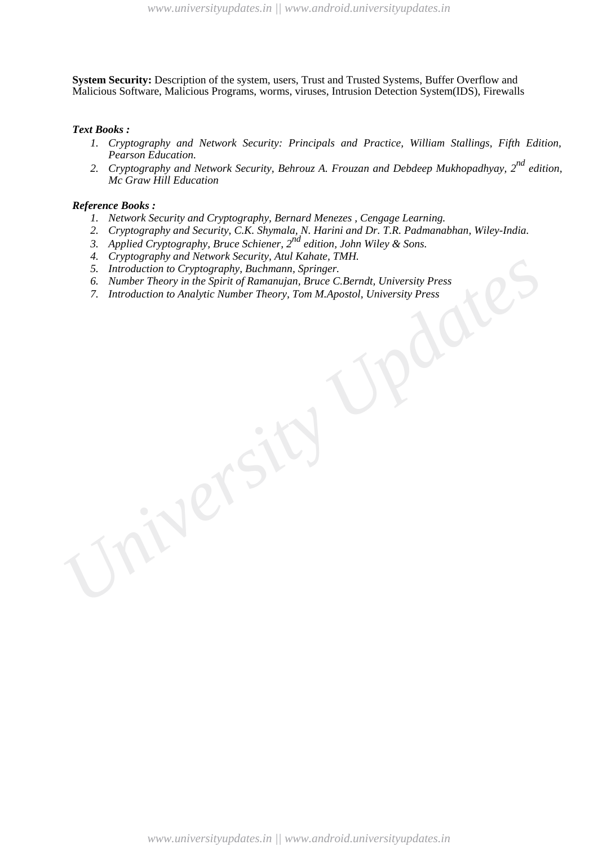**System Security:** Description of the system, users, Trust and Trusted Systems, Buffer Overflow and Malicious Software, Malicious Programs, worms, viruses, Intrusion Detection System(IDS), Firewalls

#### *Text Books :*

- *1. Cryptography and Network Security: Principals and Practice, William Stallings, Fifth Edition, Pearson Education.*
- *2. Cryptography and Network Security, Behrouz A. Frouzan and Debdeep Mukhopadhyay, 2nd edition, Mc Graw Hill Education*

- *1. Network Security and Cryptography, Bernard Menezes , Cengage Learning.*
- *2. Cryptography and Security, C.K. Shymala, N. Harini and Dr. T.R. Padmanabhan, Wiley-India.*
- *3. Applied Cryptography, Bruce Schiener, 2nd edition, John Wiley & Sons.*
- *4. Cryptography and Network Security, Atul Kahate, TMH.*
- *5. Introduction to Cryptography, Buchmann, Springer.*
- *6. Number Theory in the Spirit of Ramanujan, Bruce C.Berndt, University Press*
- *University Updates 7. Introduction to Analytic Number Theory, Tom M.Apostol, University Press*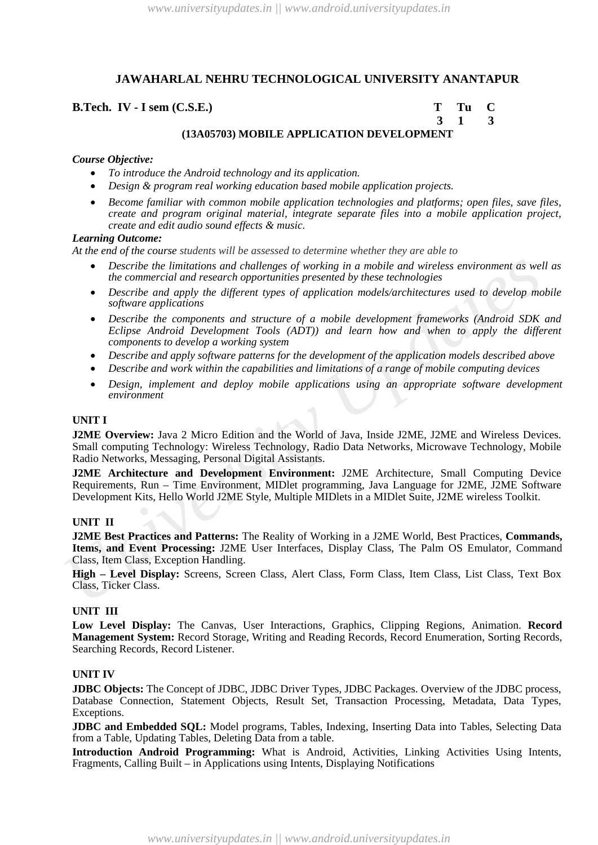## **B.Tech. IV - I sem (C.S.E.) T Tu C**

 **3 1 3**

# **(13A05703) MOBILE APPLICATION DEVELOPMENT**

# *Course Objective:*

- *To introduce the Android technology and its application.*
- *Design & program real working education based mobile application projects.*
- *Become familiar with common mobile application technologies and platforms; open files, save files, create and program original material, integrate separate files into a mobile application project, create and edit audio sound effects & music.*

## *Learning Outcome:*

*At the end of the course students will be assessed to determine whether they are able to*

- *Describe the limitations and challenges of working in a mobile and wireless environment as well as the commercial and research opportunities presented by these technologies*
- *Describe and apply the different types of application models/architectures used to develop mobile software applications*
- *Describe the components and structure of a mobile development frameworks (Android SDK and Eclipse Android Development Tools (ADT)) and learn how and when to apply the different components to develop a working system*
- *Describe and apply software patterns for the development of the application models described above*
- *Describe and work within the capabilities and limitations of a range of mobile computing devices*
- *Design, implement and deploy mobile applications using an appropriate software development environment*

#### **UNIT I**

**J2ME Overview:** Java 2 Micro Edition and the World of Java, Inside J2ME, J2ME and Wireless Devices. Small computing Technology: Wireless Technology, Radio Data Networks, Microwave Technology, Mobile Radio Networks, Messaging, Personal Digital Assistants.

**J2ME Architecture and Development Environment:** J2ME Architecture, Small Computing Device Requirements, Run – Time Environment, MIDlet programming, Java Language for J2ME, J2ME Software Development Kits, Hello World J2ME Style, Multiple MIDlets in a MIDlet Suite, J2ME wireless Toolkit.

#### **UNIT II**

**•** Describe the limitations and challenges of working in a mobile and wireless environment as well the connercial and research opportunities presented by these technologies wirroment as well because application the differ **J2ME Best Practices and Patterns:** The Reality of Working in a J2ME World, Best Practices, **Commands, Items, and Event Processing:** J2ME User Interfaces, Display Class, The Palm OS Emulator, Command Class, Item Class, Exception Handling.

**High – Level Display:** Screens, Screen Class, Alert Class, Form Class, Item Class, List Class, Text Box Class, Ticker Class.

#### **UNIT III**

**Low Level Display:** The Canvas, User Interactions, Graphics, Clipping Regions, Animation. **Record Management System:** Record Storage, Writing and Reading Records, Record Enumeration, Sorting Records, Searching Records, Record Listener.

#### **UNIT IV**

**JDBC Objects:** The Concept of JDBC, JDBC Driver Types, JDBC Packages. Overview of the JDBC process, Database Connection, Statement Objects, Result Set, Transaction Processing, Metadata, Data Types, Exceptions.

**JDBC and Embedded SQL:** Model programs, Tables, Indexing, Inserting Data into Tables, Selecting Data from a Table, Updating Tables, Deleting Data from a table.

**Introduction Android Programming:** What is Android, Activities, Linking Activities Using Intents, Fragments, Calling Built – in Applications using Intents, Displaying Notifications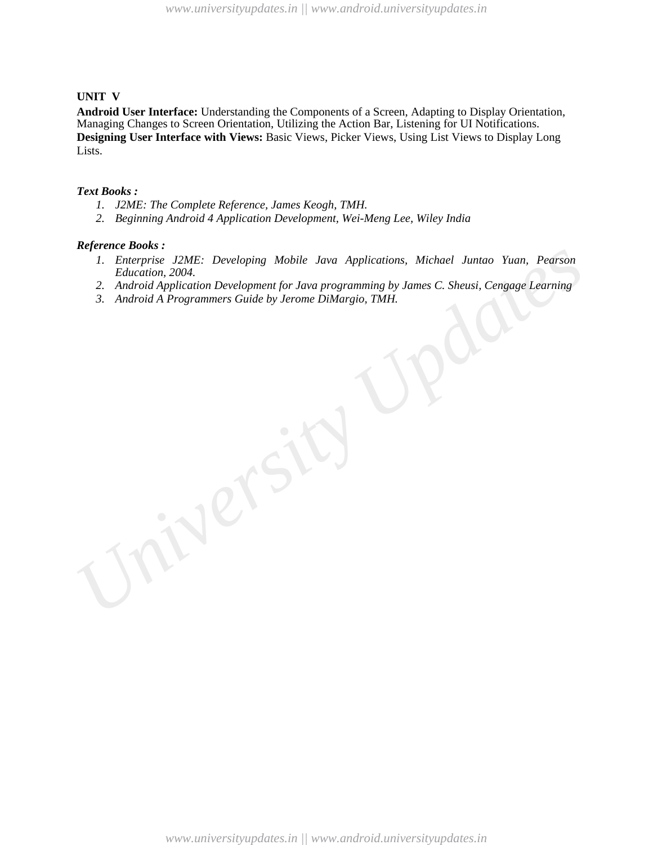#### **UNIT V**

**Android User Interface:** Understanding the Components of a Screen, Adapting to Display Orientation, Managing Changes to Screen Orientation, Utilizing the Action Bar, Listening for UI Notifications. **Designing User Interface with Views:** Basic Views, Picker Views, Using List Views to Display Long Lists.

#### *Text Books :*

- *1. J2ME: The Complete Reference, James Keogh, TMH.*
- *2. Beginning Android 4 Application Development, Wei-Meng Lee, Wiley India*

#### *Reference Books :*

- *1. Enterprise J2ME: Developing Mobile Java Applications, Michael Juntao Yuan, Pearson Education, 2004.*
- *2. Android Application Development for Java programming by James C. Sheusi, Cengage Learning*
- *University Updates 3. Android A Programmers Guide by Jerome DiMargio, TMH.*

*www.universityupdates.in || www.android.universityupdates.in*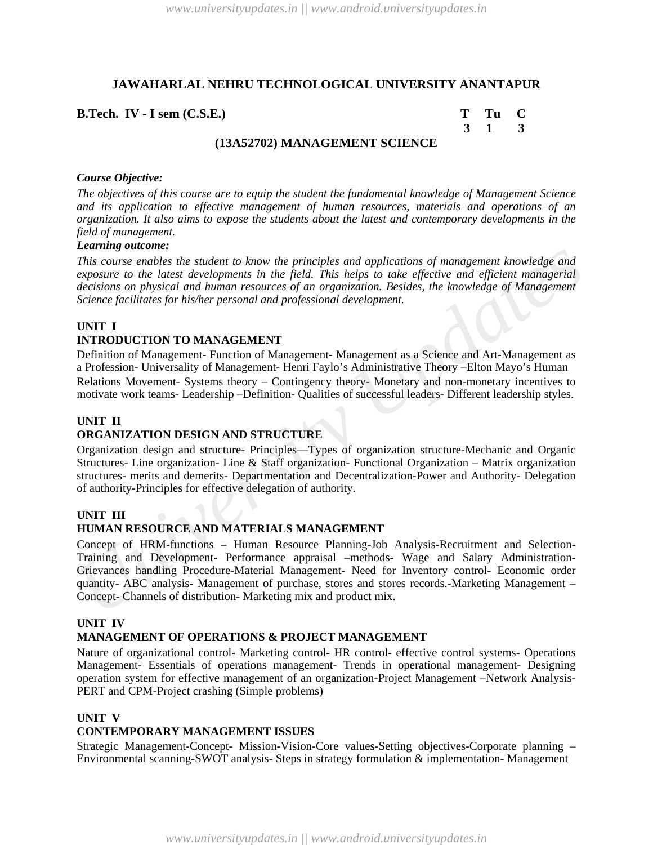**B.Tech. IV - I sem (C.S.E.)** 

| m | г<br>1u |    |
|---|---------|----|
|   |         | ., |

## **(13A52702) MANAGEMENT SCIENCE**

#### *Course Objective:*

*The objectives of this course are to equip the student the fundamental knowledge of Management Science and its application to effective management of human resources, materials and operations of an organization. It also aims to expose the students about the latest and contemporary developments in the field of management.*

## *Learning outcome:*

*This course enables the student to know the principles and applications of management knowledge and exposure to the latest developments in the field. This helps to take effective and efficient managerial decisions on physical and human resources of an organization. Besides, the knowledge of Management Science facilitates for his/her personal and professional development.*

#### **UNIT I**

# **INTRODUCTION TO MANAGEMENT**

Definition of Management- Function of Management- Management as a Science and Art-Management as a Profession- Universality of Management- Henri Faylo's Administrative Theory –Elton Mayo's Human

Relations Movement- Systems theory – Contingency theory- Monetary and non-monetary incentives to motivate work teams- Leadership –Definition- Qualities of successful leaders- Different leadership styles.

#### **UNIT II**

## **ORGANIZATION DESIGN AND STRUCTURE**

Organization design and structure- Principles—Types of organization structure-Mechanic and Organic Structures- Line organization- Line & Staff organization- Functional Organization – Matrix organization structures- merits and demerits- Departmentation and Decentralization-Power and Authority- Delegation of authority-Principles for effective delegation of authority.

#### **UNIT III**

#### **HUMAN RESOURCE AND MATERIALS MANAGEMENT**

*This course enables the student to know the principles and applications of management knowledge and<br>exposure to the latest developments in the field. This help is to take effective and efficient managerial<br>decisions on ph* Concept of HRM-functions – Human Resource Planning-Job Analysis-Recruitment and Selection-Training and Development- Performance appraisal –methods- Wage and Salary Administration-Grievances handling Procedure-Material Management- Need for Inventory control- Economic order quantity- ABC analysis- Management of purchase, stores and stores records.-Marketing Management – Concept- Channels of distribution- Marketing mix and product mix.

#### **UNIT IV**

#### **MANAGEMENT OF OPERATIONS & PROJECT MANAGEMENT**

Nature of organizational control- Marketing control- HR control- effective control systems- Operations Management- Essentials of operations management- Trends in operational management- Designing operation system for effective management of an organization-Project Management –Network Analysis-PERT and CPM-Project crashing (Simple problems)

#### **UNIT V**

## **CONTEMPORARY MANAGEMENT ISSUES**

Strategic Management-Concept- Mission-Vision-Core values-Setting objectives-Corporate planning – Environmental scanning-SWOT analysis- Steps in strategy formulation & implementation- Management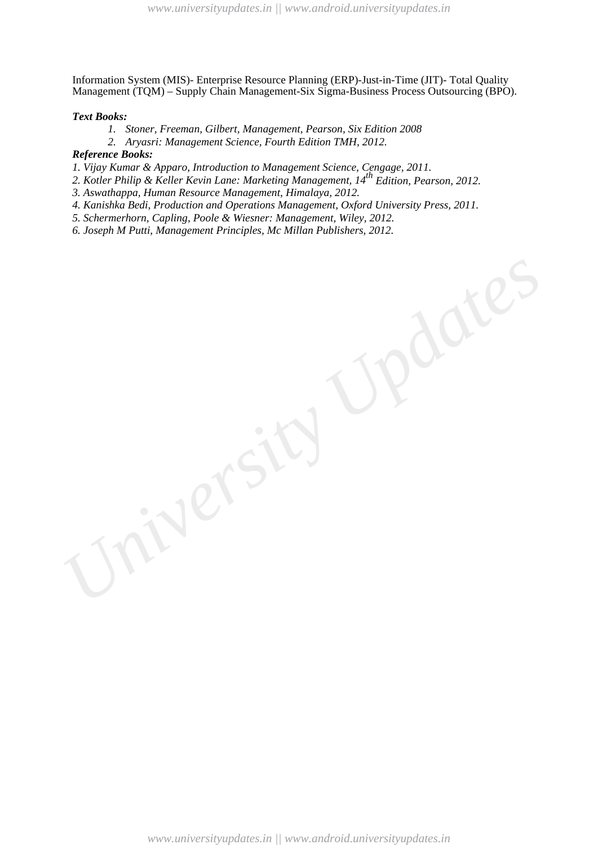Information System (MIS)- Enterprise Resource Planning (ERP)-Just-in-Time (JIT)- Total Quality Management (TQM) – Supply Chain Management-Six Sigma-Business Process Outsourcing (BPO).

#### *Text Books:*

- *1. Stoner, Freeman, Gilbert, Management, Pearson, Six Edition 2008*
- *2. Aryasri: Management Science, Fourth Edition TMH, 2012.*

#### *Reference Books:*

*1. Vijay Kumar & Apparo, Introduction to Management Science, Cengage, 2011.* 

- *2. Kotler Philip & Keller Kevin Lane: Marketing Management, 14th Edition, Pearson, 2012.*
- *3. Aswathappa, Human Resource Management, Himalaya, 2012.*
- *4. Kanishka Bedi, Production and Operations Management, Oxford University Press, 2011.*
- *5. Schermerhorn, Capling, Poole & Wiesner: Management, Wiley, 2012.*
- *6. Joseph M Putti, Management Principles, Mc Millan Publishers, 2012.*

*www.universityupdates.in || www.android.universityupdates.in*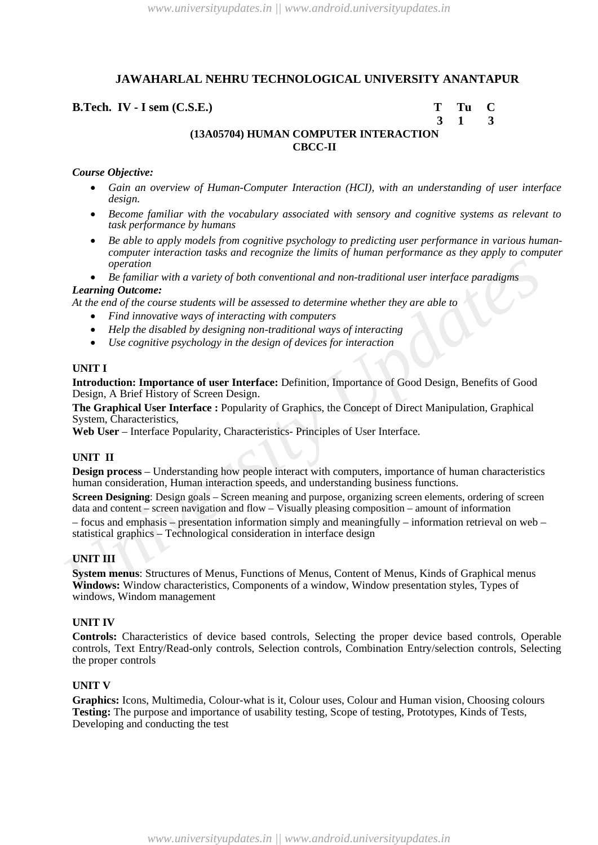## **B.Tech. IV - I sem (C.S.E.) T Tu C**

 **3 1 3**

# **(13A05704) HUMAN COMPUTER INTERACTION CBCC-II**

#### *Course Objective:*

- *Gain an overview of Human-Computer Interaction (HCI), with an understanding of user interface design.*
- *Become familiar with the vocabulary associated with sensory and cognitive systems as relevant to task performance by humans*
- *Be able to apply models from cognitive psychology to predicting user performance in various humancomputer interaction tasks and recognize the limits of human performance as they apply to computer operation*
- *Be familiar with a variety of both conventional and non-traditional user interface paradigms Learning Outcome:*

#### *At the end of the course students will be assessed to determine whether they are able to*

- *Find innovative ways of interacting with computers*
- *Help the disabled by designing non-traditional ways of interacting*
- *Use cognitive psychology in the design of devices for interaction*

## **UNIT I**

**Introduction: Importance of user Interface:** Definition, Importance of Good Design, Benefits of Good Design, A Brief History of Screen Design.

**The Graphical User Interface :** Popularity of Graphics, the Concept of Direct Manipulation, Graphical System, Characteristics,

Web User – Interface Popularity, Characteristics- Principles of User Interface.

## **UNIT II**

**Design process** – Understanding how people interact with computers, importance of human characteristics human consideration, Human interaction speeds, and understanding business functions.

**Screen Designing**: Design goals – Screen meaning and purpose, organizing screen elements, ordering of screen data and content – screen navigation and flow – Visually pleasing composition – amount of information

– focus and emphasis – presentation information simply and meaningfully – information retrieval on web – statistical graphics – Technological consideration in interface design

#### **UNIT III**

*University Updates* **System menus**: Structures of Menus, Functions of Menus, Content of Menus, Kinds of Graphical menus **Windows:** Window characteristics, Components of a window, Window presentation styles, Types of windows, Windom management

#### **UNIT IV**

**Controls:** Characteristics of device based controls, Selecting the proper device based controls, Operable controls, Text Entry/Read-only controls, Selection controls, Combination Entry/selection controls, Selecting the proper controls

#### **UNIT V**

**Graphics:** Icons, Multimedia, Colour-what is it, Colour uses, Colour and Human vision, Choosing colours **Testing:** The purpose and importance of usability testing, Scope of testing, Prototypes, Kinds of Tests, Developing and conducting the test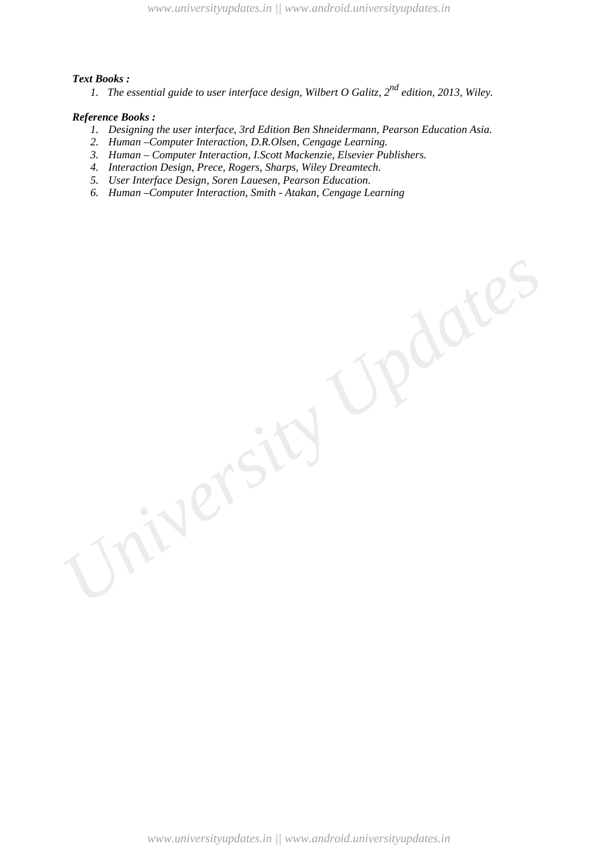#### *Text Books :*

*1. The essential guide to user interface design, Wilbert O Galitz, 2nd edition, 2013, Wiley.*

## *Reference Books :*

- *1. Designing the user interface, 3rd Edition Ben Shneidermann, Pearson Education Asia.*
- *2. Human –Computer Interaction, D.R.Olsen, Cengage Learning.*
- *3. Human – Computer Interaction, I.Scott Mackenzie, Elsevier Publishers.*
- *4. Interaction Design, Prece, Rogers, Sharps, Wiley Dreamtech.*
- *5. User Interface Design, Soren Lauesen, Pearson Education.*
- *6. Human –Computer Interaction, Smith - Atakan, Cengage Learning*

*www.universityupdates.in || www.android.universityupdates.in*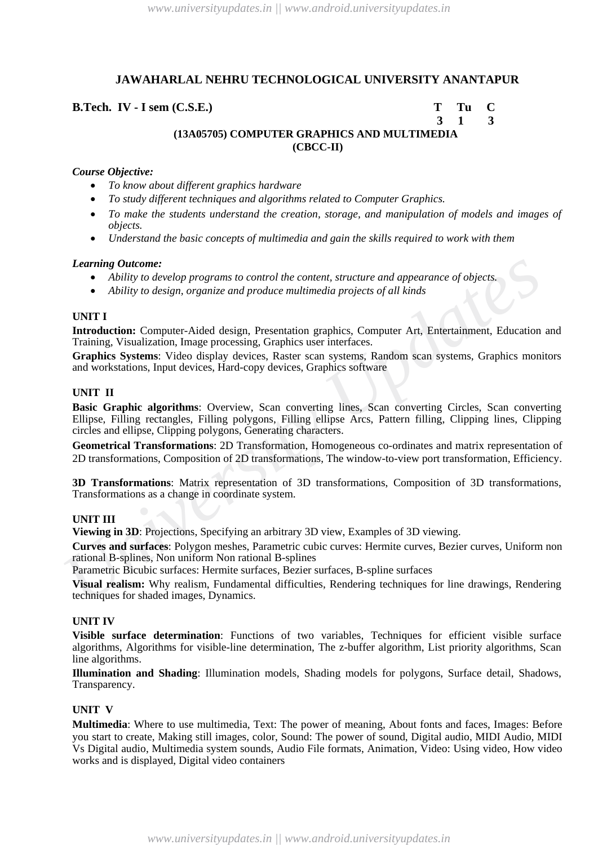## **B.Tech. IV - I sem (C.S.E.) T Tu C**

## **3 1 3 (13A05705) COMPUTER GRAPHICS AND MULTIMEDIA (CBCC-II)**

## *Course Objective:*

- *To know about different graphics hardware*
- *To study different techniques and algorithms related to Computer Graphics.*
- *To make the students understand the creation, storage, and manipulation of models and images of objects.*
- *Understand the basic concepts of multimedia and gain the skills required to work with them*

#### *Learning Outcome:*

- *Ability to develop programs to control the content, structure and appearance of objects.*
- *Ability to design, organize and produce multimedia projects of all kinds*

## **UNIT I**

**Introduction:** Computer-Aided design, Presentation graphics, Computer Art, Entertainment, Education and Training, Visualization, Image processing, Graphics user interfaces.

**Graphics Systems**: Video display devices, Raster scan systems, Random scan systems, Graphics monitors and workstations, Input devices, Hard-copy devices, Graphics software

## **UNIT II**

**Learning Outcome:**<br> **CAPITATY CONGET:**<br> **CAPITATY OUTS AND ADVEND PROGRAM CONTIC TO AND ADVENTIVE ON A CONSULTERT AND AND AND AND AND AND AND UNIT I<br>
<b>INTO ADVENT I**<br> **UNIT I**<br> **UNIT I**<br> **UNIT I**<br> **UNIT I**<br> **UNIT I**<br> **UNI Basic Graphic algorithms**: Overview, Scan converting lines, Scan converting Circles, Scan converting Ellipse, Filling rectangles, Filling polygons, Filling ellipse Arcs, Pattern filling, Clipping lines, Clipping circles and ellipse, Clipping polygons, Generating characters.

**Geometrical Transformations**: 2D Transformation, Homogeneous co-ordinates and matrix representation of 2D transformations, Composition of 2D transformations, The window-to-view port transformation, Efficiency.

**3D Transformations**: Matrix representation of 3D transformations, Composition of 3D transformations, Transformations as a change in coordinate system.

#### **UNIT III**

**Viewing in 3D**: Projections, Specifying an arbitrary 3D view, Examples of 3D viewing.

**Curves and surfaces**: Polygon meshes, Parametric cubic curves: Hermite curves, Bezier curves, Uniform non rational B-splines, Non uniform Non rational B-splines

Parametric Bicubic surfaces: Hermite surfaces, Bezier surfaces, B-spline surfaces

**Visual realism:** Why realism, Fundamental difficulties, Rendering techniques for line drawings, Rendering techniques for shaded images, Dynamics.

## **UNIT IV**

**Visible surface determination**: Functions of two variables, Techniques for efficient visible surface algorithms, Algorithms for visible-line determination, The z-buffer algorithm, List priority algorithms, Scan line algorithms.

**Illumination and Shading**: Illumination models, Shading models for polygons, Surface detail, Shadows, Transparency.

#### **UNIT V**

**Multimedia**: Where to use multimedia, Text: The power of meaning, About fonts and faces, Images: Before you start to create, Making still images, color, Sound: The power of sound, Digital audio, MIDI Audio, MIDI Vs Digital audio, Multimedia system sounds, Audio File formats, Animation, Video: Using video, How video works and is displayed, Digital video containers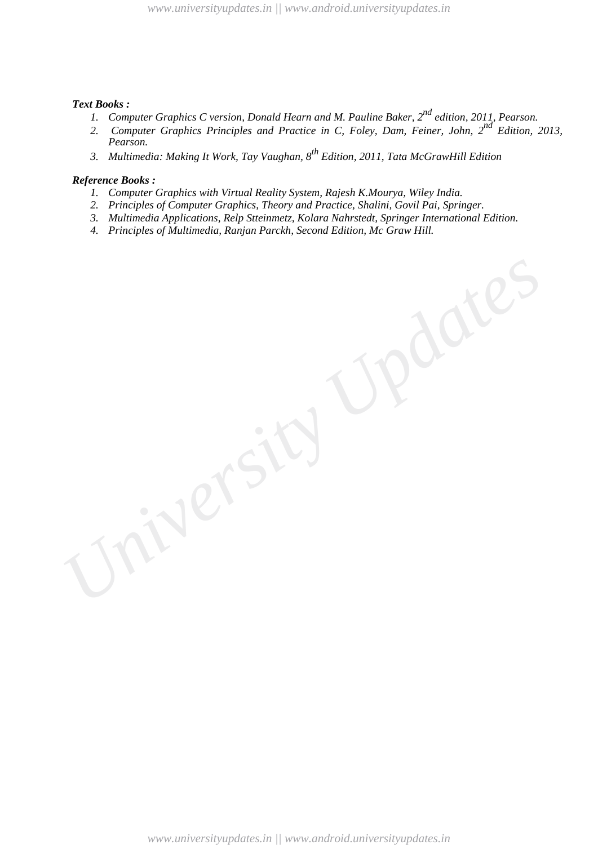## *Text Books :*

- *1. Computer Graphics C version, Donald Hearn and M. Pauline Baker, 2nd edition, 2011, Pearson.*
- *2. Computer Graphics Principles and Practice in C, Foley, Dam, Feiner, John, 2nd Edition, 2013, Pearson.*
- *3. Multimedia: Making It Work, Tay Vaughan, 8th Edition, 2011, Tata McGrawHill Edition*

- *1. Computer Graphics with Virtual Reality System, Rajesh K.Mourya, Wiley India.*
- *2. Principles of Computer Graphics, Theory and Practice, Shalini, Govil Pai, Springer.*
- *3. Multimedia Applications, Relp Stteinmetz, Kolara Nahrstedt, Springer International Edition.*
- *4. Principles of Multimedia, Ranjan Parckh, Second Edition, Mc Graw Hill.*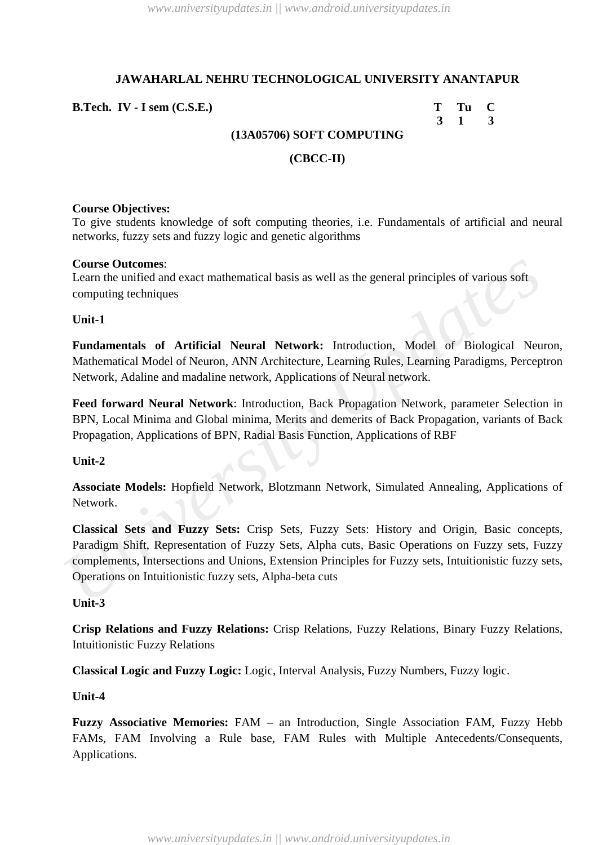**B.Tech. IV · I** sem (C.S.E.) T Tu C

 **3 1 3**

# **(13A05706) SOFT COMPUTING**

## **(CBCC-II)**

## **Course Objectives:**

To give students knowledge of soft computing theories, i.e. Fundamentals of artificial and neural networks, fuzzy sets and fuzzy logic and genetic algorithms

## **Course Outcomes**:

Learn the unified and exact mathematical basis as well as the general principles of various soft computing techniques

**Unit-1**

**Fundamentals of Artificial Neural Network:** Introduction, Model of Biological Neuron, Mathematical Model of Neuron, ANN Architecture, Learning Rules, Learning Paradigms, Perceptron Network, Adaline and madaline network, Applications of Neural network.

**Feed forward Neural Network**: Introduction, Back Propagation Network, parameter Selection in BPN, Local Minima and Global minima, Merits and demerits of Back Propagation, variants of Back Propagation, Applications of BPN, Radial Basis Function, Applications of RBF

## **Unit-2**

**Associate Models:** Hopfield Network, Blotzmann Network, Simulated Annealing, Applications of Network.

**Course Outomes:**<br>
Learn the unified and exact mathematical basis as well as the general principles of various soft<br>
Learn the unified and exact mathematical basis as well as the general principles of various soft<br>
Unit-1<br> **Classical Sets and Fuzzy Sets:** Crisp Sets, Fuzzy Sets: History and Origin, Basic concepts, Paradigm Shift, Representation of Fuzzy Sets, Alpha cuts, Basic Operations on Fuzzy sets, Fuzzy complements, Intersections and Unions, Extension Principles for Fuzzy sets, Intuitionistic fuzzy sets, Operations on Intuitionistic fuzzy sets, Alpha-beta cuts

## **Unit-3**

**Crisp Relations and Fuzzy Relations:** Crisp Relations, Fuzzy Relations, Binary Fuzzy Relations, Intuitionistic Fuzzy Relations

**Classical Logic and Fuzzy Logic:** Logic, Interval Analysis, Fuzzy Numbers, Fuzzy logic.

## **Unit-4**

**Fuzzy Associative Memories:** FAM – an Introduction, Single Association FAM, Fuzzy Hebb FAMs, FAM Involving a Rule base, FAM Rules with Multiple Antecedents/Consequents, Applications.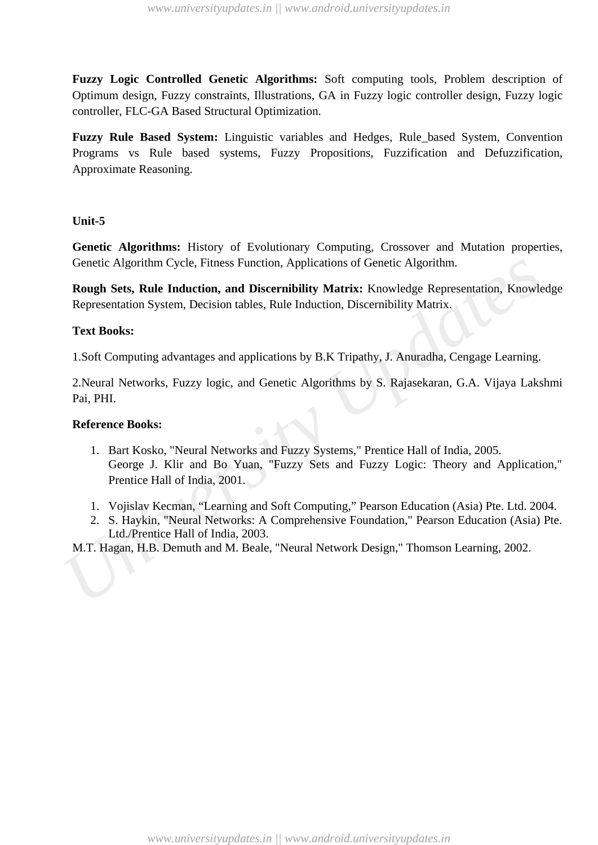**Fuzzy Logic Controlled Genetic Algorithms:** Soft computing tools, Problem description of Optimum design, Fuzzy constraints, Illustrations, GA in Fuzzy logic controller design, Fuzzy logic controller, FLC-GA Based Structural Optimization.

**Fuzzy Rule Based System:** Linguistic variables and Hedges, Rule\_based System, Convention Programs vs Rule based systems, Fuzzy Propositions, Fuzzification and Defuzzification, Approximate Reasoning.

## **Unit-5**

**Genetic Algorithms:** History of Evolutionary Computing, Crossover and Mutation properties, Genetic Algorithm Cycle, Fitness Function, Applications of Genetic Algorithm.

**Rough Sets, Rule Induction, and Discernibility Matrix:** Knowledge Representation, Knowledge Representation System, Decision tables, Rule Induction, Discernibility Matrix.

## **Text Books:**

1.Soft Computing advantages and applications by B.K Tripathy, J. Anuradha, Cengage Learning.

2.Neural Networks, Fuzzy logic, and Genetic Algorithms by S. Rajasekaran, G.A. Vijaya Lakshmi Pai, PHI.

## **Reference Books:**

- Genetic Algorithm Cycle, Fitness Function, Applications of Genetic Algorithm.<br> **Rough Sets, Rule Induction, and Discernibility Matrix:** Knowledge Representation, Knowled<br>
Representation System, Decision tables, Rule Induct 1. Bart Kosko, "Neural Networks and Fuzzy Systems," Prentice Hall of India, 2005. George J. Klir and Bo Yuan, "Fuzzy Sets and Fuzzy Logic: Theory and Application," Prentice Hall of India, 2001.
	- 1. Vojislav Kecman, "Learning and Soft Computing," Pearson Education (Asia) Pte. Ltd. 2004.
	- 2. S. Haykin, "Neural Networks: A Comprehensive Foundation," Pearson Education (Asia) Pte. Ltd./Prentice Hall of India, 2003.

M.T. Hagan, H.B. Demuth and M. Beale, "Neural Network Design," Thomson Learning, 2002.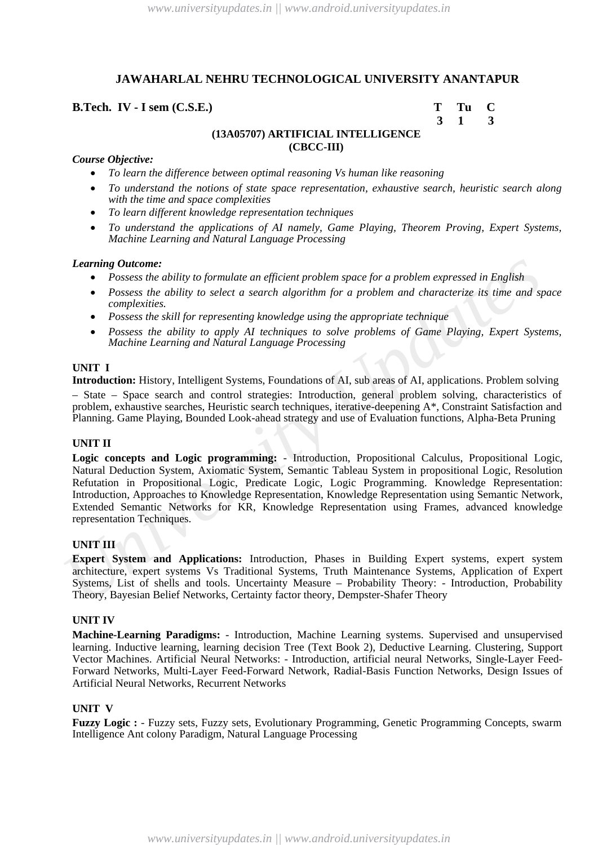## **B.Tech. IV · I** sem (C.S.E.) T Tu C

 **3 1 3**

## **(13A05707) ARTIFICIAL INTELLIGENCE (CBCC-III)**

#### *Course Objective:*

- *To learn the difference between optimal reasoning Vs human like reasoning*
- *To understand the notions of state space representation, exhaustive search, heuristic search along with the time and space complexities*
- *To learn different knowledge representation techniques*
- *To understand the applications of AI namely, Game Playing, Theorem Proving, Expert Systems, Machine Learning and Natural Language Processing*

#### *Learning Outcome:*

- *Possess the ability to formulate an efficient problem space for a problem expressed in English*
- *Possess the ability to select a search algorithm for a problem and characterize its time and space complexities.*
- *Possess the skill for representing knowledge using the appropriate technique*
- *Possess the ability to apply AI techniques to solve problems of Game Playing, Expert Systems, Machine Learning and Natural Language Processing*

#### **UNIT I**

**Introduction:** History, Intelligent Systems, Foundations of AI, sub areas of AI, applications. Problem solving – State – Space search and control strategies: Introduction, general problem solving, characteristics of problem, exhaustive searches, Heuristic search techniques, iterative-deepening A\*, Constraint Satisfaction and Planning. Game Playing, Bounded Look-ahead strategy and use of Evaluation functions, Alpha-Beta Pruning

#### **UNIT II**

**Learning Outcome:**<br> **CALLACTER CONSTRANGES CONSTRANGES (THEOTER CONSTRANGES)**<br> **CONSESS THEOTH CONSESS TO EXECUTE AND THEOTER CONSESS**<br> **CONSESS THE ADVELUES** CONSESS TO POSSES THE AND THE POSSES THE SUITS OF POSSESS THE **Logic concepts and Logic programming:** - Introduction, Propositional Calculus, Propositional Logic, Natural Deduction System, Axiomatic System, Semantic Tableau System in propositional Logic, Resolution Refutation in Propositional Logic, Predicate Logic, Logic Programming. Knowledge Representation: Introduction, Approaches to Knowledge Representation, Knowledge Representation using Semantic Network, Extended Semantic Networks for KR, Knowledge Representation using Frames, advanced knowledge representation Techniques.

#### **UNIT III**

**Expert System and Applications:** Introduction, Phases in Building Expert systems, expert system architecture, expert systems Vs Traditional Systems, Truth Maintenance Systems, Application of Expert Systems, List of shells and tools. Uncertainty Measure – Probability Theory: - Introduction, Probability Theory, Bayesian Belief Networks, Certainty factor theory, Dempster-Shafer Theory

#### **UNIT IV**

**Machine-Learning Paradigms:** - Introduction, Machine Learning systems. Supervised and unsupervised learning. Inductive learning, learning decision Tree (Text Book 2), Deductive Learning. Clustering, Support Vector Machines. Artificial Neural Networks: - Introduction, artificial neural Networks, Single-Layer Feed-Forward Networks, Multi-Layer Feed-Forward Network, Radial-Basis Function Networks, Design Issues of Artificial Neural Networks, Recurrent Networks

#### **UNIT V**

**Fuzzy Logic :** - Fuzzy sets, Fuzzy sets, Evolutionary Programming, Genetic Programming Concepts, swarm Intelligence Ant colony Paradigm, Natural Language Processing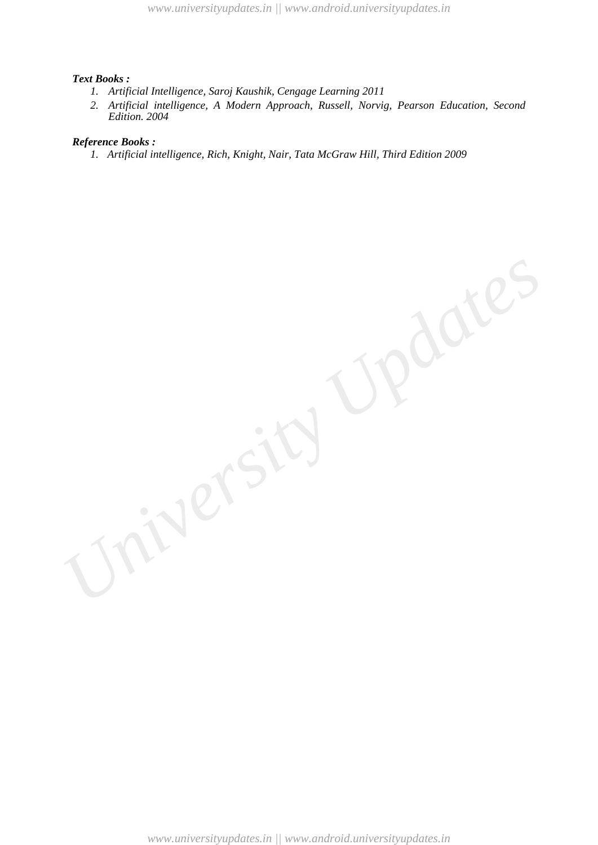#### *Text Books :*

- *1. Artificial Intelligence, Saroj Kaushik, Cengage Learning 2011*
- *2. Artificial intelligence, A Modern Approach, Russell, Norvig, Pearson Education, Second Edition. 2004*

#### *Reference Books :*

*1. Artificial intelligence, Rich, Knight, Nair, Tata McGraw Hill, Third Edition 2009*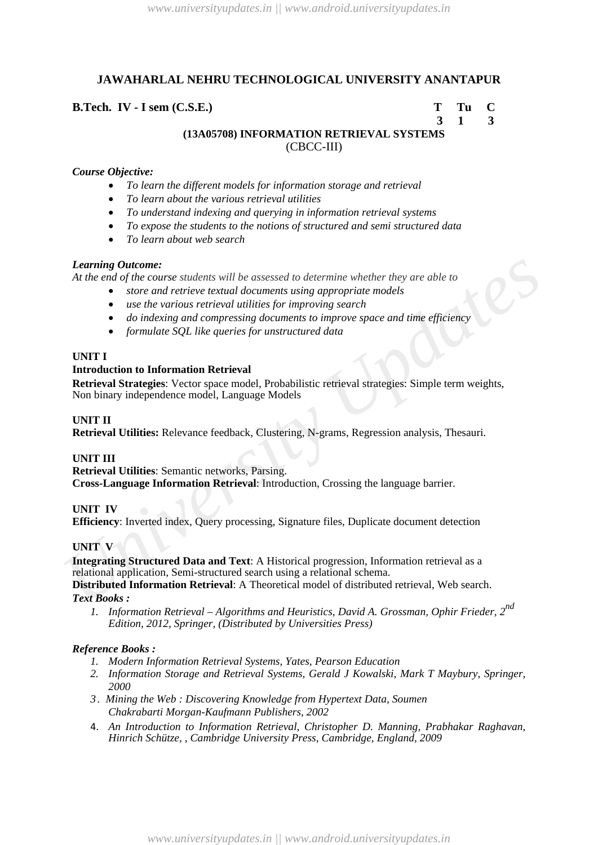# **B.Tech. IV - I sem (C.S.E.) T Tu C**

```
 3 1 3
```
**(13A05708) INFORMATION RETRIEVAL SYSTEMS** (CBCC-III)

## *Course Objective:*

- *To learn the different models for information storage and retrieval*
- *To learn about the various retrieval utilities*
- *To understand indexing and querying in information retrieval systems*
- *To expose the students to the notions of structured and semi structured data*
- *To learn about web search*

## *Learning Outcome:*

*At the end of the course students will be assessed to determine whether they are able to*

- *store and retrieve textual documents using appropriate models* 
	- *use the various retrieval utilities for improving search*
	- *do indexing and compressing documents to improve space and time efficiency*
	- *formulate SQL like queries for unstructured data*

## **UNIT I**

## **Introduction to Information Retrieval**

**Retrieval Strategies**: Vector space model, Probabilistic retrieval strategies: Simple term weights, Non binary independence model, Language Models

## **UNIT II**

**Retrieval Utilities:** Relevance feedback, Clustering, N-grams, Regression analysis, Thesauri.

## **UNIT III**

**Retrieval Utilities**: Semantic networks, Parsing. **Cross-Language Information Retrieval**: Introduction, Crossing the language barrier.

## **UNIT IV**

**Efficiency**: Inverted index, Query processing, Signature files, Duplicate document detection

## **UNIT V**

*Learning Outcome:*<br> *Learning Outcomes students will be assessed to determine whether they are able to*<br> **At the end of the course students will decuments using appropriate models**<br> **•** use the various reriveal utilitie **Integrating Structured Data and Text**: A Historical progression, Information retrieval as a relational application, Semi-structured search using a relational schema. **Distributed Information Retrieval**: A Theoretical model of distributed retrieval, Web search.

*Text Books :*

*1. Information Retrieval – Algorithms and Heuristics, David A. Grossman, Ophir Frieder, 2nd Edition, 2012, Springer, (Distributed by Universities Press)* 

- *1. Modern Information Retrieval Systems, Yates, Pearson Education*
- *2. Information Storage and Retrieval Systems, Gerald J Kowalski, Mark T Maybury, Springer, 2000*
- *3 . Mining the Web : Discovering Knowledge from Hypertext Data, Soumen Chakrabarti Morgan-Kaufmann Publishers, 2002*
- 4. *An Introduction to Information Retrieval, Christopher D. Manning, Prabhakar Raghavan, Hinrich Schütze, , Cambridge University Press, Cambridge, England, 2009*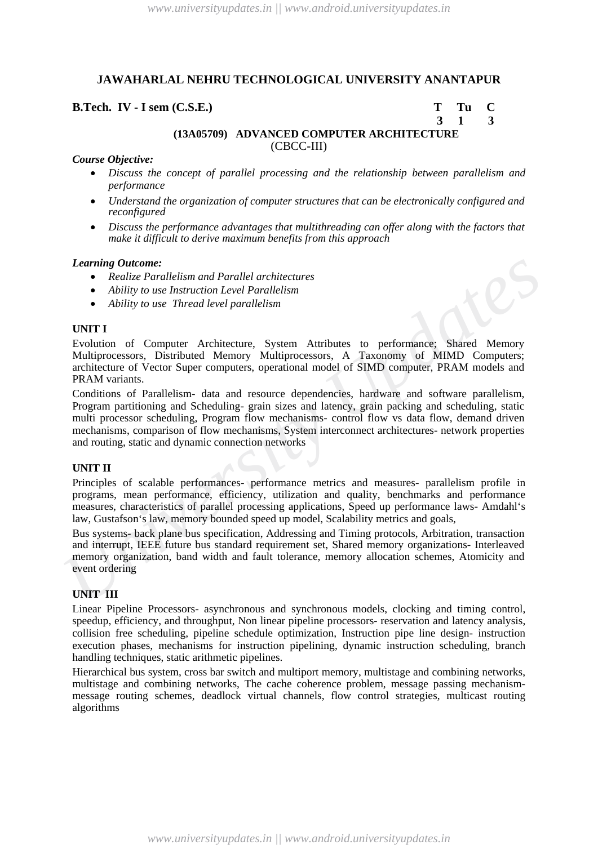## **B.Tech. IV - I sem (C.S.E.) T Tu C**

 **3 1 3**

# **(13A05709) ADVANCED COMPUTER ARCHITECTURE** (CBCC-III)

#### *Course Objective:*

- *Discuss the concept of parallel processing and the relationship between parallelism and performance*
- *Understand the organization of computer structures that can be electronically configured and reconfigured*
- *Discuss the performance advantages that multithreading can offer along with the factors that make it difficult to derive maximum benefits from this approach*

#### *Learning Outcome:*

- *Realize Parallelism and Parallel architectures*
- *Ability to use Instruction Level Parallelism*
- *Ability to use Thread level parallelism*

#### **UNIT I**

Evolution of Computer Architecture, System Attributes to performance; Shared Memory Multiprocessors, Distributed Memory Multiprocessors, A Taxonomy of MIMD Computers; architecture of Vector Super computers, operational model of SIMD computer, PRAM models and PRAM variants.

**Learning Outcome:**<br> *Carriage Calce Parallelism and Parallel architectures***<br>
<b>•** Realize Parallelism and Parallelism<br> **•** Ability to use Instruction Level Parallelism<br> **UNITI**<br> **UNITI**<br> **UNITI**<br> **UNITION 10** UNITION Of C Conditions of Parallelism- data and resource dependencies, hardware and software parallelism, Program partitioning and Scheduling- grain sizes and latency, grain packing and scheduling, static multi processor scheduling, Program flow mechanisms- control flow vs data flow, demand driven mechanisms, comparison of flow mechanisms, System interconnect architectures- network properties and routing, static and dynamic connection networks

#### **UNIT II**

Principles of scalable performances- performance metrics and measures- parallelism profile in programs, mean performance, efficiency, utilization and quality, benchmarks and performance measures, characteristics of parallel processing applications, Speed up performance laws- Amdahl's law, Gustafson's law, memory bounded speed up model, Scalability metrics and goals,

Bus systems- back plane bus specification, Addressing and Timing protocols, Arbitration, transaction and interrupt, IEEE future bus standard requirement set, Shared memory organizations- Interleaved memory organization, band width and fault tolerance, memory allocation schemes, Atomicity and event ordering

#### **UNIT III**

Linear Pipeline Processors- asynchronous and synchronous models, clocking and timing control, speedup, efficiency, and throughput, Non linear pipeline processors- reservation and latency analysis, collision free scheduling, pipeline schedule optimization, Instruction pipe line design- instruction execution phases, mechanisms for instruction pipelining, dynamic instruction scheduling, branch handling techniques, static arithmetic pipelines.

Hierarchical bus system, cross bar switch and multiport memory, multistage and combining networks, multistage and combining networks, The cache coherence problem, message passing mechanismmessage routing schemes, deadlock virtual channels, flow control strategies, multicast routing algorithms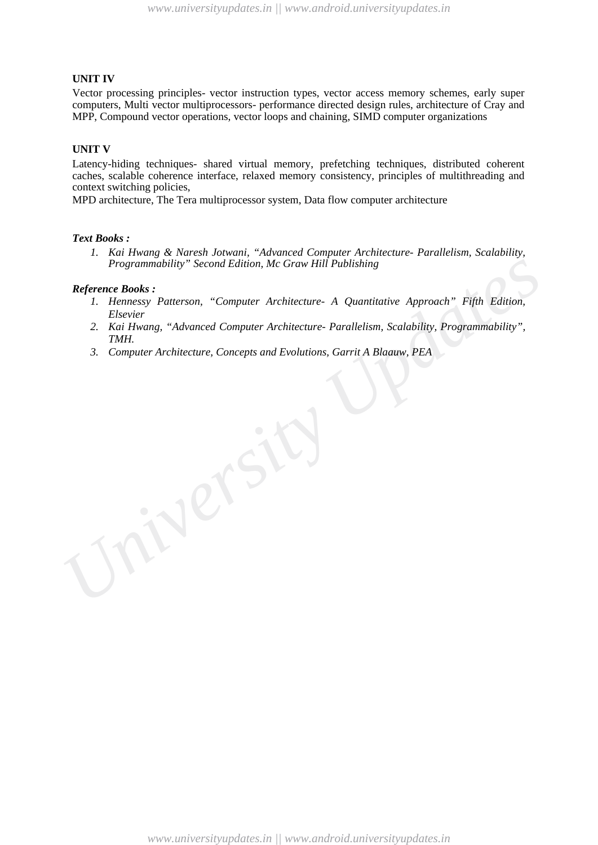#### **UNIT IV**

Vector processing principles- vector instruction types, vector access memory schemes, early super computers, Multi vector multiprocessors- performance directed design rules, architecture of Cray and MPP, Compound vector operations, vector loops and chaining, SIMD computer organizations

#### **UNIT V**

Latency-hiding techniques- shared virtual memory, prefetching techniques, distributed coherent caches, scalable coherence interface, relaxed memory consistency, principles of multithreading and context switching policies,

MPD architecture, The Tera multiprocessor system, Data flow computer architecture

#### *Text Books :*

*1. Kai Hwang & Naresh Jotwani, "Advanced Computer Architecture- Parallelism, Scalability, Programmability" Second Edition, Mc Graw Hill Publishing* 

- *1. Hennessy Patterson, "Computer Architecture- A Quantitative Approach" Fifth Edition, Elsevier*
- *2. Kai Hwang, "Advanced Computer Architecture- Parallelism, Scalability, Programmability", TMH.*
- *3. Computer Architecture, Concepts and Evolutions, Garrit A Blaauw, PEA*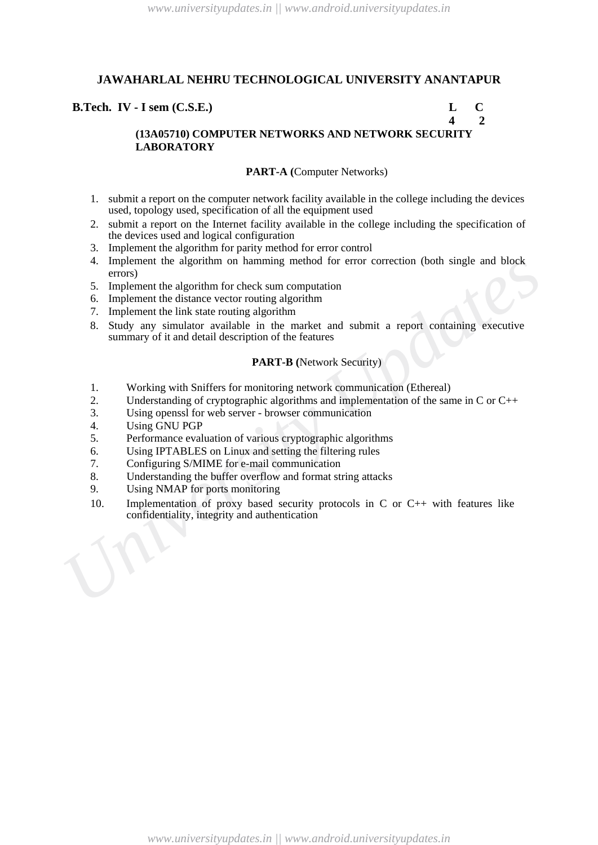## **B.Tech. IV - I sem (C.S.E.) L C**

### **4 2 (13A05710) COMPUTER NETWORKS AND NETWORK SECURITY LABORATORY**

#### **PART-A (**Computer Networks)

- 1. submit a report on the computer network facility available in the college including the devices used, topology used, specification of all the equipment used
- 2. submit a report on the Internet facility available in the college including the specification of the devices used and logical configuration
- 3. Implement the algorithm for parity method for error control
- 4. Implement the algorithm on hamming method for error correction (both single and block errors)
- 5. Implement the algorithm for check sum computation
- 6. Implement the distance vector routing algorithm
- 7. Implement the link state routing algorithm
- 4. Implement the algorithm for hardming memod for error correction (both single and book<br>
5. Implement the distance vector routing algorithm<br>
6. Implement the distance vector routing algorithm<br>
7. Implement the link state 8. Study any simulator available in the market and submit a report containing executive summary of it and detail description of the features

#### **PART-B (**Network Security)

- 1. Working with Sniffers for monitoring network communication (Ethereal)
- 2. Understanding of cryptographic algorithms and implementation of the same in C or C++
- 3. Using openssl for web server browser communication
- 4. Using GNU PGP<br>5. Performance eval
- 5. Performance evaluation of various cryptographic algorithms
- 6. Using IPTABLES on Linux and setting the filtering rules
- 7. Configuring S/MIME for e-mail communication
- 8. Understanding the buffer overflow and format string attacks
- 9. Using NMAP for ports monitoring
- 10. Implementation of proxy based security protocols in C or C++ with features like confidentiality, integrity and authentication